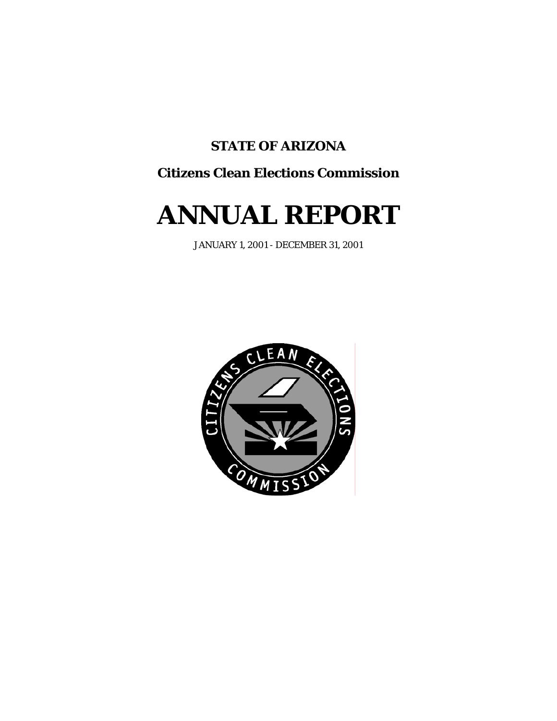# **STATE OF ARIZONA**

# **Citizens Clean Elections Commission**

# **ANNUAL REPORT**

JANUARY 1, 2001 - DECEMBER 31, 2001

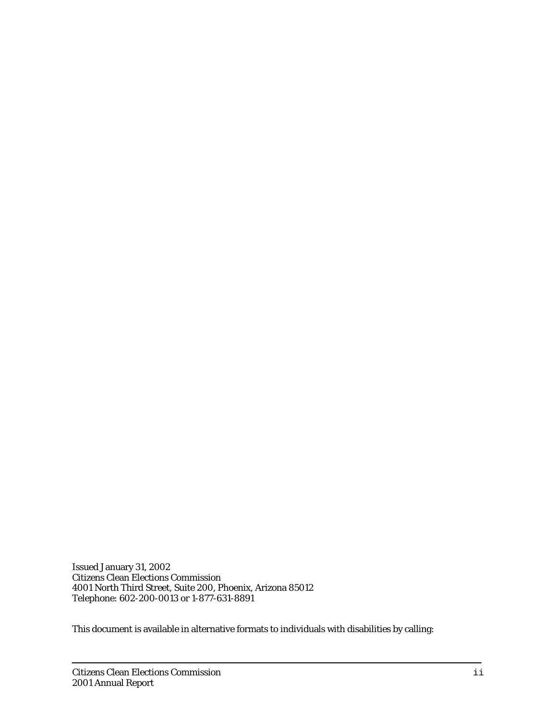Issued January 31, 2002 Citizens Clean Elections Commission 4001 North Third Street, Suite 200, Phoenix, Arizona 85012 Telephone: 602-200-0013 or 1-877-631-8891

This document is available in alternative formats to individuals with disabilities by calling: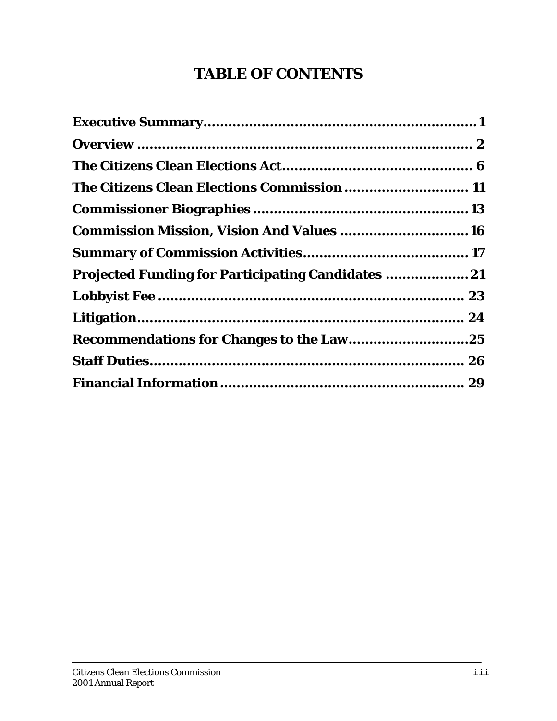# **TABLE OF CONTENTS**

| The Citizens Clean Elections Commission  11               |  |
|-----------------------------------------------------------|--|
|                                                           |  |
| <b>Commission Mission, Vision And Values 16</b>           |  |
|                                                           |  |
| <b>Projected Funding for Participating Candidates  21</b> |  |
|                                                           |  |
|                                                           |  |
|                                                           |  |
|                                                           |  |
|                                                           |  |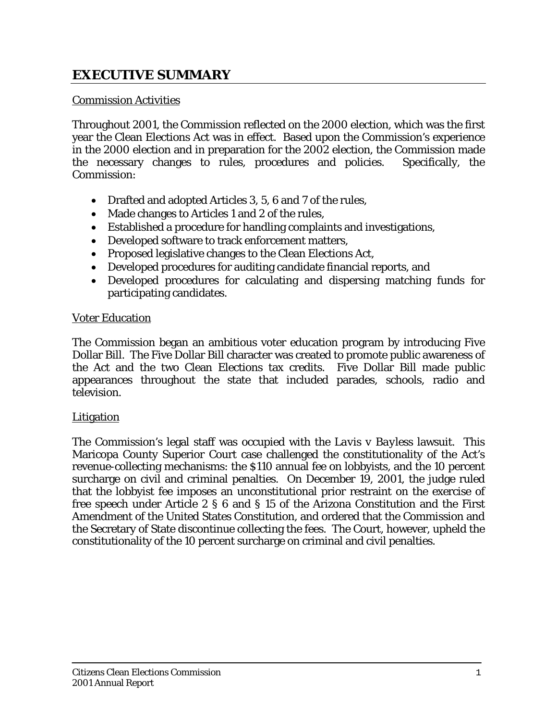# **EXECUTIVE SUMMARY**

#### Commission Activities

Throughout 2001, the Commission reflected on the 2000 election, which was the first year the Clean Elections Act was in effect. Based upon the Commission's experience in the 2000 election and in preparation for the 2002 election, the Commission made the necessary changes to rules, procedures and policies. Specifically, the Commission:

- Drafted and adopted Articles 3, 5, 6 and 7 of the rules,
- Made changes to Articles 1 and 2 of the rules,
- Established a procedure for handling complaints and investigations,
- Developed software to track enforcement matters,
- Proposed legislative changes to the Clean Elections Act,
- Developed procedures for auditing candidate financial reports, and
- Developed procedures for calculating and dispersing matching funds for participating candidates.

#### Voter Education

The Commission began an ambitious voter education program by introducing Five Dollar Bill. The Five Dollar Bill character was created to promote public awareness of the Act and the two Clean Elections tax credits. Five Dollar Bill made public appearances throughout the state that included parades, schools, radio and television.

#### Litigation

The Commission's legal staff was occupied with the *Lavis v Bayless* lawsuit. This Maricopa County Superior Court case challenged the constitutionality of the Act's revenue-collecting mechanisms: the \$110 annual fee on lobbyists, and the 10 percent surcharge on civil and criminal penalties. On December 19, 2001, the judge ruled that the lobbyist fee imposes an unconstitutional prior restraint on the exercise of free speech under Article 2 § 6 and § 15 of the Arizona Constitution and the First Amendment of the United States Constitution, and ordered that the Commission and the Secretary of State discontinue collecting the fees. The Court, however, upheld the constitutionality of the 10 percent surcharge on criminal and civil penalties.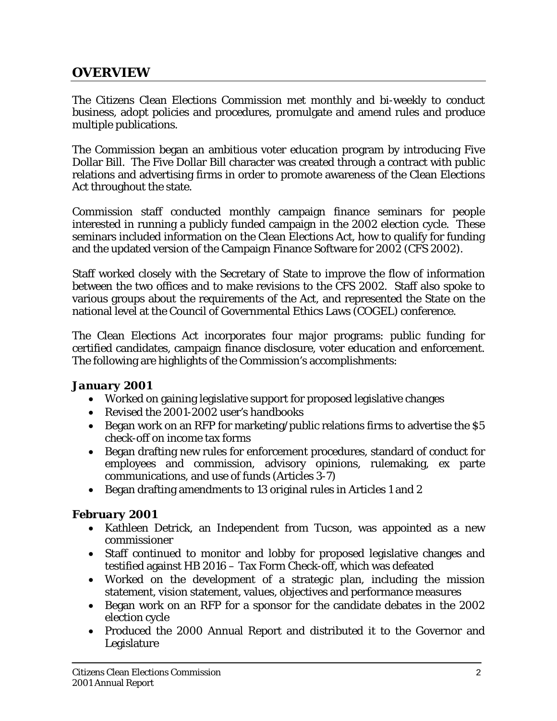# **OVERVIEW**

The Citizens Clean Elections Commission met monthly and bi-weekly to conduct business, adopt policies and procedures, promulgate and amend rules and produce multiple publications.

The Commission began an ambitious voter education program by introducing Five Dollar Bill. The Five Dollar Bill character was created through a contract with public relations and advertising firms in order to promote awareness of the Clean Elections Act throughout the state.

Commission staff conducted monthly campaign finance seminars for people interested in running a publicly funded campaign in the 2002 election cycle. These seminars included information on the Clean Elections Act, how to qualify for funding and the updated version of the Campaign Finance Software for 2002 (CFS 2002).

Staff worked closely with the Secretary of State to improve the flow of information between the two offices and to make revisions to the CFS 2002. Staff also spoke to various groups about the requirements of the Act, and represented the State on the national level at the Council of Governmental Ethics Laws (COGEL) conference.

The Clean Elections Act incorporates four major programs: public funding for certified candidates, campaign finance disclosure, voter education and enforcement. The following are highlights of the Commission's accomplishments:

#### *January 2001*

- Worked on gaining legislative support for proposed legislative changes
- Revised the 2001-2002 user's handbooks
- Began work on an RFP for marketing/public relations firms to advertise the \$5 check-off on income tax forms
- Began drafting new rules for enforcement procedures, standard of conduct for employees and commission, advisory opinions, rulemaking, ex parte communications, and use of funds (Articles 3-7)
- Began drafting amendments to 13 original rules in Articles 1 and 2

#### *February 2001*

- Kathleen Detrick, an Independent from Tucson, was appointed as a new commissioner
- Staff continued to monitor and lobby for proposed legislative changes and testified against HB 2016 – Tax Form Check-off, which was defeated
- Worked on the development of a strategic plan, including the mission statement, vision statement, values, objectives and performance measures
- Began work on an RFP for a sponsor for the candidate debates in the 2002 election cycle
- Produced the 2000 Annual Report and distributed it to the Governor and Legislature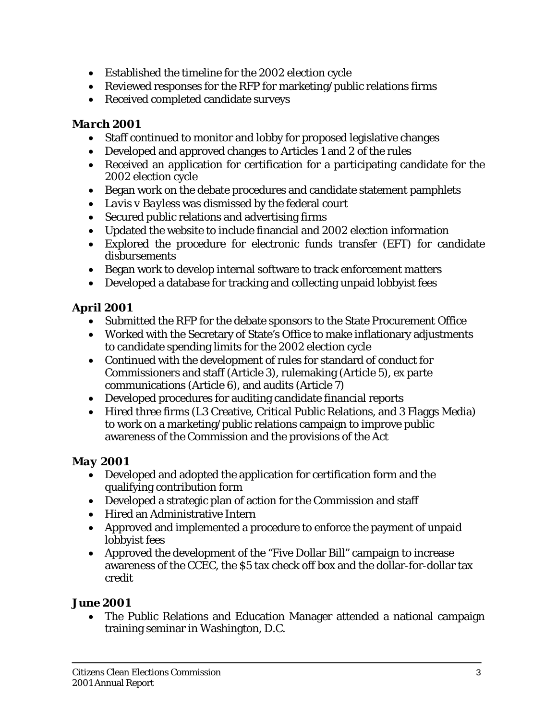- Established the timeline for the 2002 election cycle
- Reviewed responses for the RFP for marketing/public relations firms
- Received completed candidate surveys

# *March 2001*

- Staff continued to monitor and lobby for proposed legislative changes
- Developed and approved changes to Articles 1 and 2 of the rules
- Received an application for certification for a participating candidate for the 2002 election cycle
- Began work on the debate procedures and candidate statement pamphlets
- *Lavis v Bayless* was dismissed by the federal court
- Secured public relations and advertising firms
- Updated the website to include financial and 2002 election information
- Explored the procedure for electronic funds transfer (EFT) for candidate disbursements
- Began work to develop internal software to track enforcement matters
- Developed a database for tracking and collecting unpaid lobbyist fees

# *April 2001*

- Submitted the RFP for the debate sponsors to the State Procurement Office
- Worked with the Secretary of State's Office to make inflationary adjustments to candidate spending limits for the 2002 election cycle
- Continued with the development of rules for standard of conduct for Commissioners and staff (Article 3), rulemaking (Article 5), ex parte communications (Article 6), and audits (Article 7)
- Developed procedures for auditing candidate financial reports
- Hired three firms (L3 Creative, Critical Public Relations, and 3 Flaggs Media) to work on a marketing/public relations campaign to improve public awareness of the Commission and the provisions of the Act

# *May 2001*

- Developed and adopted the application for certification form and the qualifying contribution form
- Developed a strategic plan of action for the Commission and staff
- Hired an Administrative Intern
- Approved and implemented a procedure to enforce the payment of unpaid lobbyist fees
- Approved the development of the "Five Dollar Bill" campaign to increase awareness of the CCEC, the \$5 tax check off box and the dollar-for-dollar tax credit

# *June 2001*

• The Public Relations and Education Manager attended a national campaign training seminar in Washington, D.C.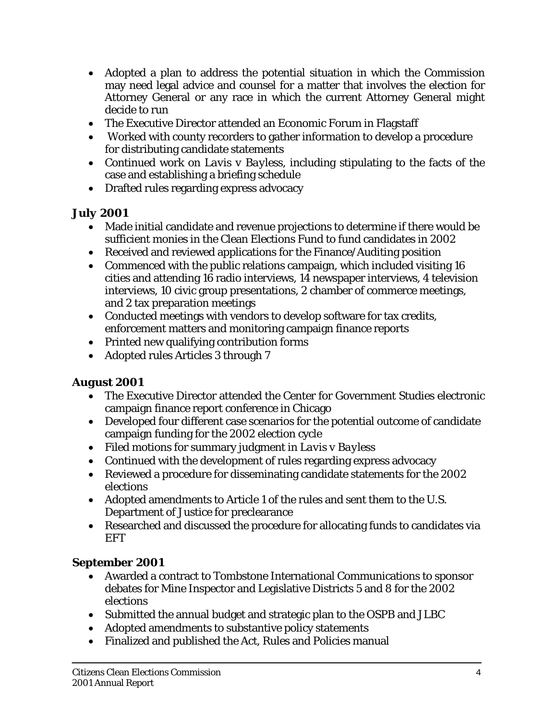- Adopted a plan to address the potential situation in which the Commission may need legal advice and counsel for a matter that involves the election for Attorney General or any race in which the current Attorney General might decide to run
- The Executive Director attended an Economic Forum in Flagstaff
- Worked with county recorders to gather information to develop a procedure for distributing candidate statements
- Continued work on *Lavis v Bayless,* including stipulating to the facts of the case and establishing a briefing schedule
- Drafted rules regarding express advocacy

## *July 2001*

- Made initial candidate and revenue projections to determine if there would be sufficient monies in the Clean Elections Fund to fund candidates in 2002
- Received and reviewed applications for the Finance/Auditing position
- Commenced with the public relations campaign, which included visiting 16 cities and attending 16 radio interviews, 14 newspaper interviews, 4 television interviews, 10 civic group presentations, 2 chamber of commerce meetings, and 2 tax preparation meetings
- Conducted meetings with vendors to develop software for tax credits, enforcement matters and monitoring campaign finance reports
- Printed new qualifying contribution forms
- Adopted rules Articles 3 through 7

## *August 2001*

- The Executive Director attended the Center for Government Studies electronic campaign finance report conference in Chicago
- Developed four different case scenarios for the potential outcome of candidate campaign funding for the 2002 election cycle
- Filed motions for summary judgment in *Lavis v Bayless*
- Continued with the development of rules regarding express advocacy
- Reviewed a procedure for disseminating candidate statements for the 2002 elections
- Adopted amendments to Article 1 of the rules and sent them to the U.S. Department of Justice for preclearance
- Researched and discussed the procedure for allocating funds to candidates via EFT

# *September 2001*

- Awarded a contract to Tombstone International Communications to sponsor debates for Mine Inspector and Legislative Districts 5 and 8 for the 2002 elections
- Submitted the annual budget and strategic plan to the OSPB and JLBC
- Adopted amendments to substantive policy statements
- Finalized and published the Act, Rules and Policies manual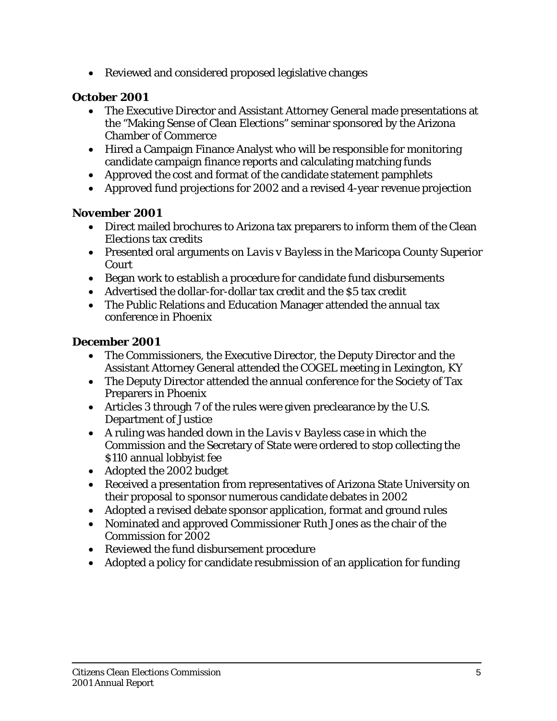• Reviewed and considered proposed legislative changes

## *October 2001*

- The Executive Director and Assistant Attorney General made presentations at the "Making Sense of Clean Elections" seminar sponsored by the Arizona Chamber of Commerce
- Hired a Campaign Finance Analyst who will be responsible for monitoring candidate campaign finance reports and calculating matching funds
- Approved the cost and format of the candidate statement pamphlets
- Approved fund projections for 2002 and a revised 4-year revenue projection

#### *November 2001*

- Direct mailed brochures to Arizona tax preparers to inform them of the Clean Elections tax credits
- Presented oral arguments on *Lavis v Bayless* in the Maricopa County Superior Court
- Began work to establish a procedure for candidate fund disbursements
- Advertised the dollar-for-dollar tax credit and the \$5 tax credit
- The Public Relations and Education Manager attended the annual tax conference in Phoenix

#### *December 2001*

- The Commissioners, the Executive Director, the Deputy Director and the Assistant Attorney General attended the COGEL meeting in Lexington, KY
- The Deputy Director attended the annual conference for the Society of Tax Preparers in Phoenix
- Articles 3 through 7 of the rules were given preclearance by the U.S. Department of Justice
- A ruling was handed down in the *Lavis v Bayless* case in which the Commission and the Secretary of State were ordered to stop collecting the \$110 annual lobbyist fee
- Adopted the 2002 budget
- Received a presentation from representatives of Arizona State University on their proposal to sponsor numerous candidate debates in 2002
- Adopted a revised debate sponsor application, format and ground rules
- Nominated and approved Commissioner Ruth Jones as the chair of the Commission for 2002
- Reviewed the fund disbursement procedure
- Adopted a policy for candidate resubmission of an application for funding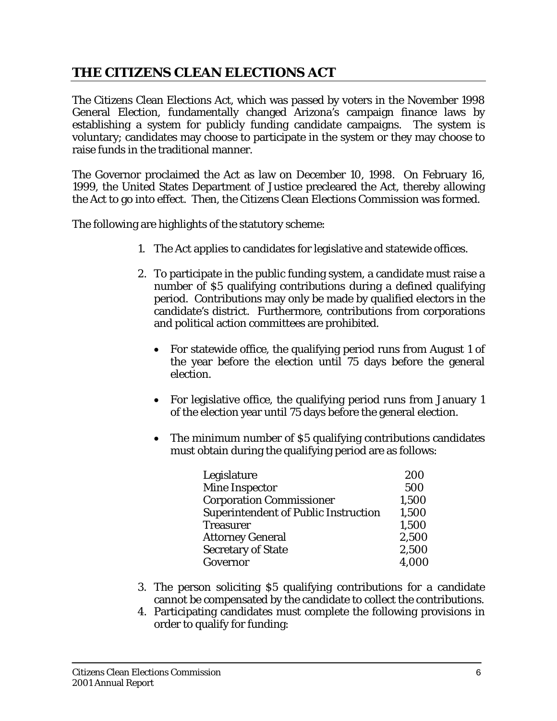# **THE CITIZENS CLEAN ELECTIONS ACT**

The Citizens Clean Elections Act, which was passed by voters in the November 1998 General Election, fundamentally changed Arizona's campaign finance laws by establishing a system for publicly funding candidate campaigns. The system is voluntary; candidates may choose to participate in the system or they may choose to raise funds in the traditional manner.

The Governor proclaimed the Act as law on December 10, 1998. On February 16, 1999, the United States Department of Justice precleared the Act, thereby allowing the Act to go into effect. Then, the Citizens Clean Elections Commission was formed.

The following are highlights of the statutory scheme:

- 1. The Act applies to candidates for legislative and statewide offices.
- 2. To participate in the public funding system, a candidate must raise a number of \$5 qualifying contributions during a defined qualifying period. Contributions may only be made by qualified electors in the candidate's district. Furthermore, contributions from corporations and political action committees are prohibited.
	- For statewide office, the qualifying period runs from August 1 of the year before the election until 75 days before the general election.
	- For legislative office, the qualifying period runs from January 1 of the election year until 75 days before the general election.
	- The minimum number of \$5 qualifying contributions candidates must obtain during the qualifying period are as follows:

| Legislature                                 | 200   |
|---------------------------------------------|-------|
| <b>Mine Inspector</b>                       | 500   |
| <b>Corporation Commissioner</b>             | 1,500 |
| <b>Superintendent of Public Instruction</b> | 1,500 |
| <b>Treasurer</b>                            | 1,500 |
| <b>Attorney General</b>                     | 2,500 |
| <b>Secretary of State</b>                   | 2,500 |
| Governor                                    | 4,000 |

- 3. The person soliciting \$5 qualifying contributions for a candidate cannot be compensated by the candidate to collect the contributions.
- 4. Participating candidates must complete the following provisions in order to qualify for funding: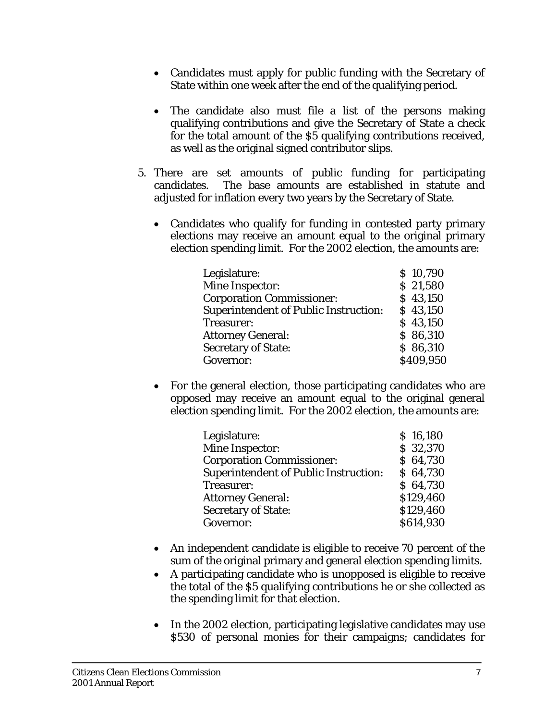- Candidates must apply for public funding with the Secretary of State within one week after the end of the qualifying period.
- The candidate also must file a list of the persons making qualifying contributions and give the Secretary of State a check for the total amount of the \$5 qualifying contributions received, as well as the original signed contributor slips.
- 5. There are set amounts of public funding for participating candidates. The base amounts are established in statute and adjusted for inflation every two years by the Secretary of State.
	- Candidates who qualify for funding in contested party primary elections may receive an amount equal to the original primary election spending limit. For the 2002 election, the amounts are:

| Legislature:                                 | \$10,790  |
|----------------------------------------------|-----------|
| <b>Mine Inspector:</b>                       | \$21,580  |
| <b>Corporation Commissioner:</b>             | \$43,150  |
| <b>Superintendent of Public Instruction:</b> | \$43,150  |
| Treasurer:                                   | \$43,150  |
| <b>Attorney General:</b>                     | \$86,310  |
| <b>Secretary of State:</b>                   | \$86,310  |
| Governor:                                    | \$409,950 |

• For the general election, those participating candidates who are opposed may receive an amount equal to the original general election spending limit. For the 2002 election, the amounts are:

| Legislature:                                 | \$16,180  |
|----------------------------------------------|-----------|
| Mine Inspector:                              | \$32,370  |
| <b>Corporation Commissioner:</b>             | \$64,730  |
| <b>Superintendent of Public Instruction:</b> | \$64,730  |
| Treasurer:                                   | \$64,730  |
| <b>Attorney General:</b>                     | \$129,460 |
| <b>Secretary of State:</b>                   | \$129,460 |
| Governor:                                    | \$614,930 |
|                                              |           |

- An independent candidate is eligible to receive 70 percent of the sum of the original primary and general election spending limits.
- A participating candidate who is unopposed is eligible to receive the total of the \$5 qualifying contributions he or she collected as the spending limit for that election.
- In the 2002 election, participating legislative candidates may use \$530 of personal monies for their campaigns; candidates for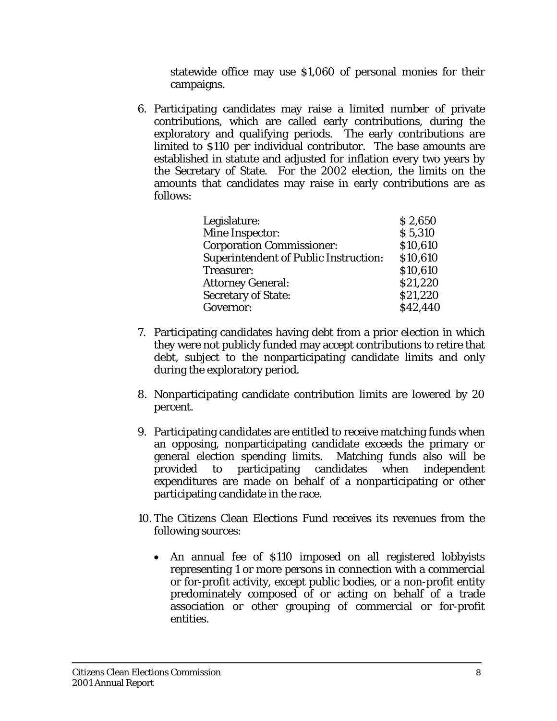statewide office may use \$1,060 of personal monies for their campaigns.

6. Participating candidates may raise a limited number of private contributions, which are called early contributions, during the exploratory and qualifying periods. The early contributions are limited to \$110 per individual contributor. The base amounts are established in statute and adjusted for inflation every two years by the Secretary of State. For the 2002 election, the limits on the amounts that candidates may raise in early contributions are as follows:

| Legislature:                                 | \$2,650  |
|----------------------------------------------|----------|
| <b>Mine Inspector:</b>                       | \$5,310  |
| <b>Corporation Commissioner:</b>             | \$10,610 |
| <b>Superintendent of Public Instruction:</b> | \$10,610 |
| Treasurer:                                   | \$10,610 |
| <b>Attorney General:</b>                     | \$21,220 |
| <b>Secretary of State:</b>                   | \$21,220 |
| Governor:                                    | \$42,440 |

- 7. Participating candidates having debt from a prior election in which they were not publicly funded may accept contributions to retire that debt, subject to the nonparticipating candidate limits and only during the exploratory period.
- 8. Nonparticipating candidate contribution limits are lowered by 20 percent.
- 9. Participating candidates are entitled to receive matching funds when an opposing, nonparticipating candidate exceeds the primary or general election spending limits. Matching funds also will be provided to participating candidates when independent expenditures are made on behalf of a nonparticipating or other participating candidate in the race.
- 10. The Citizens Clean Elections Fund receives its revenues from the following sources:
	- An annual fee of \$110 imposed on all registered lobbyists representing 1 or more persons in connection with a commercial or for-profit activity, except public bodies, or a non-profit entity predominately composed of or acting on behalf of a trade association or other grouping of commercial or for-profit entities.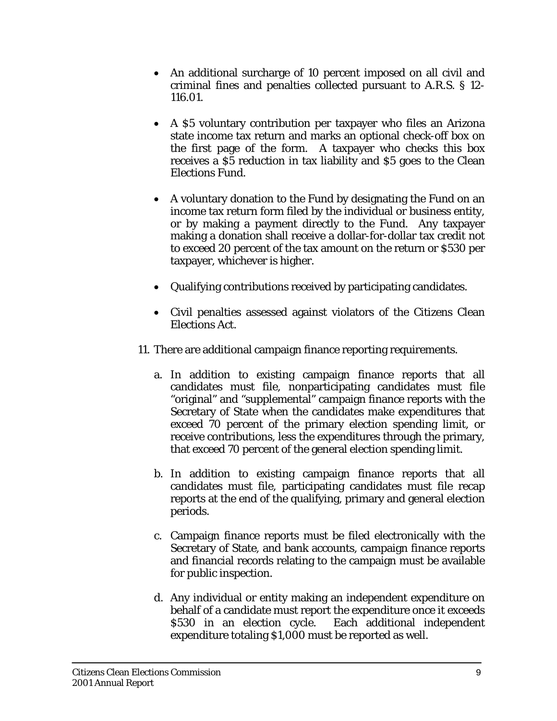- An additional surcharge of 10 percent imposed on all civil and criminal fines and penalties collected pursuant to A.R.S. § 12- 116.01.
- A \$5 voluntary contribution per taxpayer who files an Arizona state income tax return and marks an optional check-off box on the first page of the form. A taxpayer who checks this box receives a \$5 reduction in tax liability and \$5 goes to the Clean Elections Fund.
- A voluntary donation to the Fund by designating the Fund on an income tax return form filed by the individual or business entity, or by making a payment directly to the Fund. Any taxpayer making a donation shall receive a dollar-for-dollar tax credit not to exceed 20 percent of the tax amount on the return or \$530 per taxpayer, whichever is higher.
- Qualifying contributions received by participating candidates.
- Civil penalties assessed against violators of the Citizens Clean Elections Act.
- 11. There are additional campaign finance reporting requirements.
	- a. In addition to existing campaign finance reports that all candidates must file, nonparticipating candidates must file "original" and "supplemental" campaign finance reports with the Secretary of State when the candidates make expenditures that exceed 70 percent of the primary election spending limit, or receive contributions, less the expenditures through the primary, that exceed 70 percent of the general election spending limit.
	- b. In addition to existing campaign finance reports that all candidates must file, participating candidates must file recap reports at the end of the qualifying, primary and general election periods.
	- c. Campaign finance reports must be filed electronically with the Secretary of State, and bank accounts, campaign finance reports and financial records relating to the campaign must be available for public inspection.
	- d. Any individual or entity making an independent expenditure on behalf of a candidate must report the expenditure once it exceeds \$530 in an election cycle. Each additional independent expenditure totaling \$1,000 must be reported as well.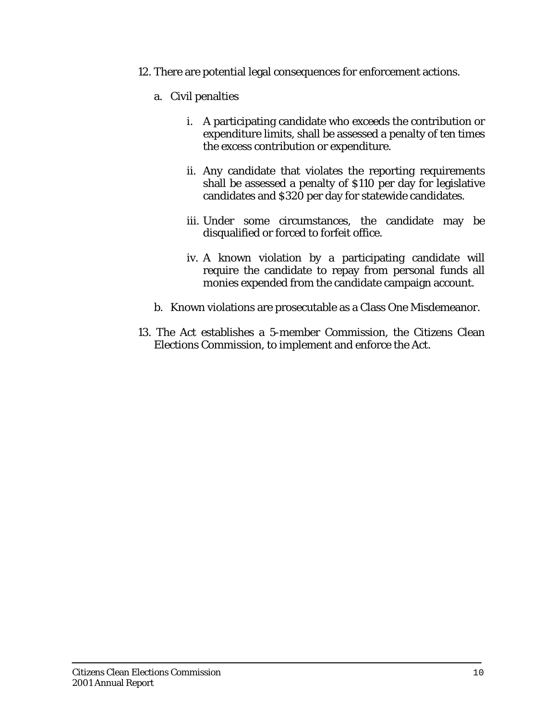- 12. There are potential legal consequences for enforcement actions.
	- a. Civil penalties
		- i. A participating candidate who exceeds the contribution or expenditure limits, shall be assessed a penalty of ten times the excess contribution or expenditure.
		- ii. Any candidate that violates the reporting requirements shall be assessed a penalty of \$110 per day for legislative candidates and \$320 per day for statewide candidates.
		- iii. Under some circumstances, the candidate may be disqualified or forced to forfeit office.
		- iv. A known violation by a participating candidate will require the candidate to repay from personal funds all monies expended from the candidate campaign account.
	- b. Known violations are prosecutable as a Class One Misdemeanor.
- 13. The Act establishes a 5-member Commission, the Citizens Clean Elections Commission, to implement and enforce the Act.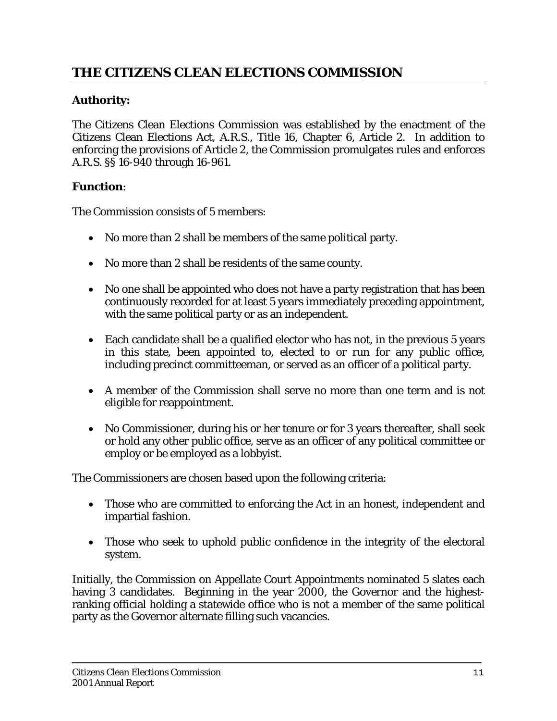# **THE CITIZENS CLEAN ELECTIONS COMMISSION**

# **Authority:**

The Citizens Clean Elections Commission was established by the enactment of the Citizens Clean Elections Act, A.R.S., Title 16, Chapter 6, Article 2. In addition to enforcing the provisions of Article 2, the Commission promulgates rules and enforces A.R.S. §§ 16-940 through 16-961.

#### **Function**:

The Commission consists of 5 members:

- No more than 2 shall be members of the same political party.
- No more than 2 shall be residents of the same county.
- No one shall be appointed who does not have a party registration that has been continuously recorded for at least 5 years immediately preceding appointment, with the same political party or as an independent.
- Each candidate shall be a qualified elector who has not, in the previous 5 years in this state, been appointed to, elected to or run for any public office, including precinct committeeman, or served as an officer of a political party.
- A member of the Commission shall serve no more than one term and is not eligible for reappointment.
- No Commissioner, during his or her tenure or for 3 years thereafter, shall seek or hold any other public office, serve as an officer of any political committee or employ or be employed as a lobbyist.

The Commissioners are chosen based upon the following criteria:

- Those who are committed to enforcing the Act in an honest, independent and impartial fashion.
- Those who seek to uphold public confidence in the integrity of the electoral system.

Initially, the Commission on Appellate Court Appointments nominated 5 slates each having 3 candidates. Beginning in the year 2000, the Governor and the highestranking official holding a statewide office who is not a member of the same political party as the Governor alternate filling such vacancies.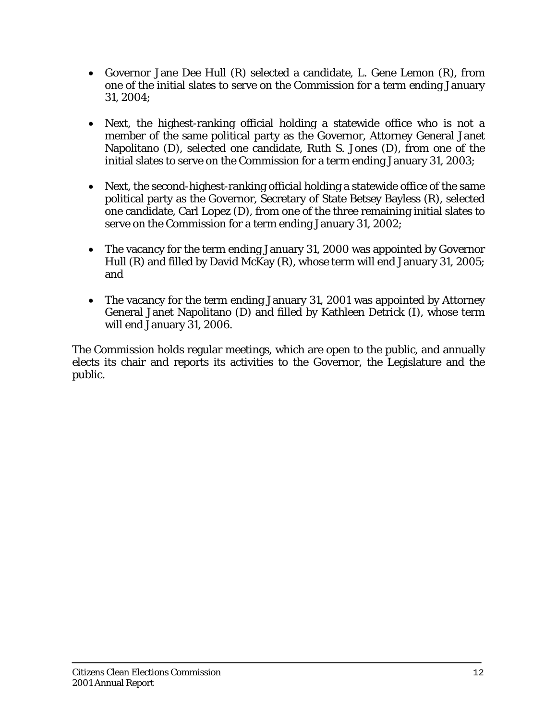- Governor Jane Dee Hull (R) selected a candidate, L. Gene Lemon (R), from one of the initial slates to serve on the Commission for a term ending January 31, 2004;
- Next, the highest-ranking official holding a statewide office who is not a member of the same political party as the Governor, Attorney General Janet Napolitano (D), selected one candidate, Ruth S. Jones (D), from one of the initial slates to serve on the Commission for a term ending January 31, 2003;
- Next, the second-highest-ranking official holding a statewide office of the same political party as the Governor, Secretary of State Betsey Bayless (R), selected one candidate, Carl Lopez (D), from one of the three remaining initial slates to serve on the Commission for a term ending January 31, 2002;
- The vacancy for the term ending January 31, 2000 was appointed by Governor Hull (R) and filled by David McKay (R), whose term will end January 31, 2005; and
- The vacancy for the term ending January 31, 2001 was appointed by Attorney General Janet Napolitano (D) and filled by Kathleen Detrick (I), whose term will end January 31, 2006.

The Commission holds regular meetings, which are open to the public, and annually elects its chair and reports its activities to the Governor, the Legislature and the public.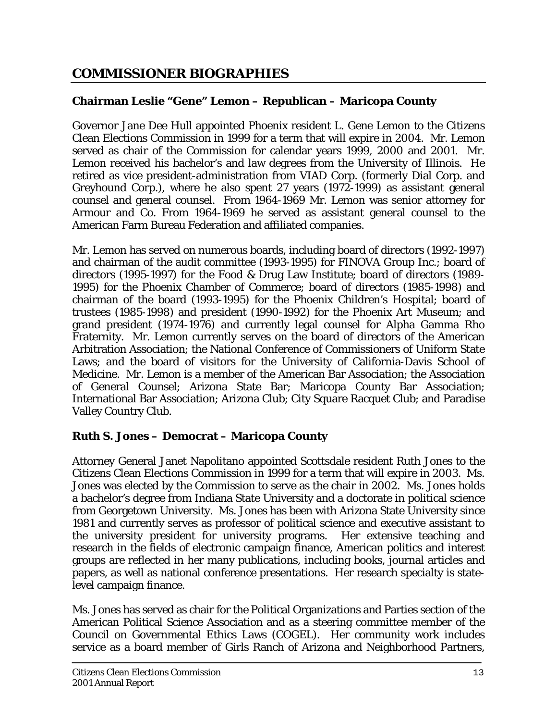# **COMMISSIONER BIOGRAPHIES**

# **Chairman Leslie "Gene" Lemon – Republican – Maricopa County**

Governor Jane Dee Hull appointed Phoenix resident L. Gene Lemon to the Citizens Clean Elections Commission in 1999 for a term that will expire in 2004. Mr. Lemon served as chair of the Commission for calendar years 1999, 2000 and 2001. Mr. Lemon received his bachelor's and law degrees from the University of Illinois. He retired as vice president-administration from VIAD Corp. (formerly Dial Corp. and Greyhound Corp.), where he also spent 27 years (1972-1999) as assistant general counsel and general counsel. From 1964-1969 Mr. Lemon was senior attorney for Armour and Co. From 1964-1969 he served as assistant general counsel to the American Farm Bureau Federation and affiliated companies.

Mr. Lemon has served on numerous boards, including board of directors (1992-1997) and chairman of the audit committee (1993-1995) for FINOVA Group Inc.; board of directors (1995-1997) for the Food & Drug Law Institute; board of directors (1989- 1995) for the Phoenix Chamber of Commerce; board of directors (1985-1998) and chairman of the board (1993-1995) for the Phoenix Children's Hospital; board of trustees (1985-1998) and president (1990-1992) for the Phoenix Art Museum; and grand president (1974-1976) and currently legal counsel for Alpha Gamma Rho Fraternity. Mr. Lemon currently serves on the board of directors of the American Arbitration Association; the National Conference of Commissioners of Uniform State Laws; and the board of visitors for the University of California-Davis School of Medicine. Mr. Lemon is a member of the American Bar Association; the Association of General Counsel; Arizona State Bar; Maricopa County Bar Association; International Bar Association; Arizona Club; City Square Racquet Club; and Paradise Valley Country Club.

# **Ruth S. Jones – Democrat – Maricopa County**

Attorney General Janet Napolitano appointed Scottsdale resident Ruth Jones to the Citizens Clean Elections Commission in 1999 for a term that will expire in 2003. Ms. Jones was elected by the Commission to serve as the chair in 2002. Ms. Jones holds a bachelor's degree from Indiana State University and a doctorate in political science from Georgetown University. Ms. Jones has been with Arizona State University since 1981 and currently serves as professor of political science and executive assistant to the university president for university programs. Her extensive teaching and research in the fields of electronic campaign finance, American politics and interest groups are reflected in her many publications, including books, journal articles and papers, as well as national conference presentations. Her research specialty is statelevel campaign finance.

Ms. Jones has served as chair for the Political Organizations and Parties section of the American Political Science Association and as a steering committee member of the Council on Governmental Ethics Laws (COGEL). Her community work includes service as a board member of Girls Ranch of Arizona and Neighborhood Partners,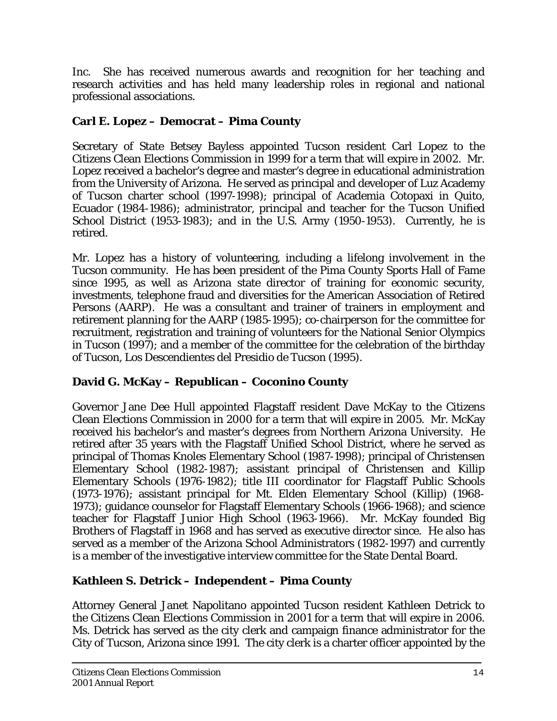Inc. She has received numerous awards and recognition for her teaching and research activities and has held many leadership roles in regional and national professional associations.

# **Carl E. Lopez – Democrat – Pima County**

Secretary of State Betsey Bayless appointed Tucson resident Carl Lopez to the Citizens Clean Elections Commission in 1999 for a term that will expire in 2002. Mr. Lopez received a bachelor's degree and master's degree in educational administration from the University of Arizona. He served as principal and developer of Luz Academy of Tucson charter school (1997-1998); principal of Academia Cotopaxi in Quito, Ecuador (1984-1986); administrator, principal and teacher for the Tucson Unified School District (1953-1983); and in the U.S. Army (1950-1953). Currently, he is retired.

Mr. Lopez has a history of volunteering, including a lifelong involvement in the Tucson community. He has been president of the Pima County Sports Hall of Fame since 1995, as well as Arizona state director of training for economic security, investments, telephone fraud and diversities for the American Association of Retired Persons (AARP). He was a consultant and trainer of trainers in employment and retirement planning for the AARP (1985-1995); co-chairperson for the committee for recruitment, registration and training of volunteers for the National Senior Olympics in Tucson (1997); and a member of the committee for the celebration of the birthday of Tucson, Los Descendientes del Presidio de Tucson (1995).

## **David G. McKay – Republican – Coconino County**

Governor Jane Dee Hull appointed Flagstaff resident Dave McKay to the Citizens Clean Elections Commission in 2000 for a term that will expire in 2005. Mr. McKay received his bachelor's and master's degrees from Northern Arizona University. He retired after 35 years with the Flagstaff Unified School District, where he served as principal of Thomas Knoles Elementary School (1987-1998); principal of Christensen Elementary School (1982-1987); assistant principal of Christensen and Killip Elementary Schools (1976-1982); title III coordinator for Flagstaff Public Schools (1973-1976); assistant principal for Mt. Elden Elementary School (Killip) (1968- 1973); guidance counselor for Flagstaff Elementary Schools (1966-1968); and science teacher for Flagstaff Junior High School (1963-1966). Mr. McKay founded Big Brothers of Flagstaff in 1968 and has served as executive director since. He also has served as a member of the Arizona School Administrators (1982-1997) and currently is a member of the investigative interview committee for the State Dental Board.

# **Kathleen S. Detrick – Independent – Pima County**

Attorney General Janet Napolitano appointed Tucson resident Kathleen Detrick to the Citizens Clean Elections Commission in 2001 for a term that will expire in 2006. Ms. Detrick has served as the city clerk and campaign finance administrator for the City of Tucson, Arizona since 1991. The city clerk is a charter officer appointed by the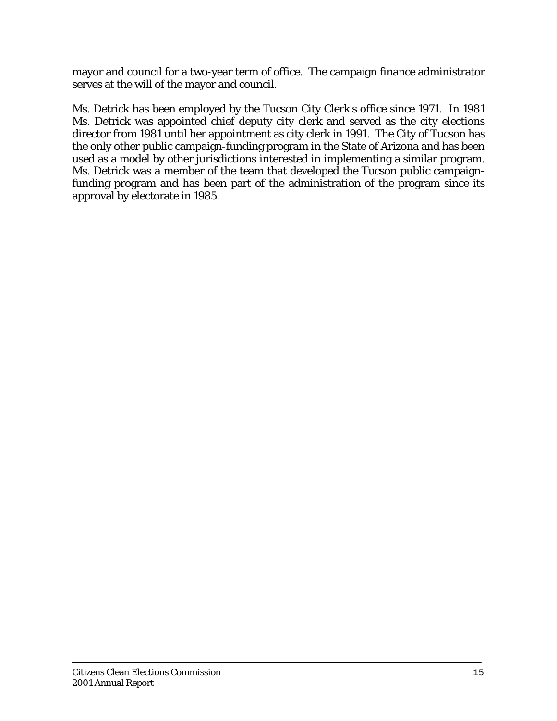mayor and council for a two-year term of office. The campaign finance administrator serves at the will of the mayor and council.

Ms. Detrick has been employed by the Tucson City Clerk's office since 1971. In 1981 Ms. Detrick was appointed chief deputy city clerk and served as the city elections director from 1981 until her appointment as city clerk in 1991. The City of Tucson has the only other public campaign-funding program in the State of Arizona and has been used as a model by other jurisdictions interested in implementing a similar program. Ms. Detrick was a member of the team that developed the Tucson public campaignfunding program and has been part of the administration of the program since its approval by electorate in 1985.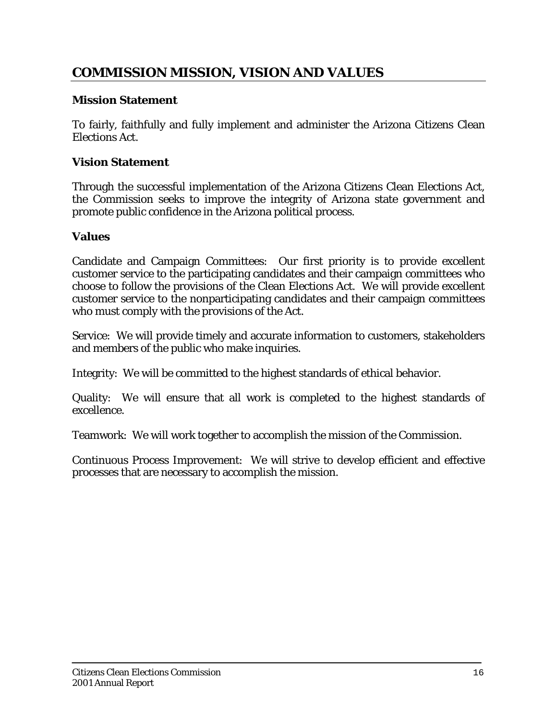# **COMMISSION MISSION, VISION AND VALUES**

#### **Mission Statement**

To fairly, faithfully and fully implement and administer the Arizona Citizens Clean Elections Act.

### **Vision Statement**

Through the successful implementation of the Arizona Citizens Clean Elections Act, the Commission seeks to improve the integrity of Arizona state government and promote public confidence in the Arizona political process.

#### **Values**

Candidate and Campaign Committees: Our first priority is to provide excellent customer service to the participating candidates and their campaign committees who choose to follow the provisions of the Clean Elections Act. We will provide excellent customer service to the nonparticipating candidates and their campaign committees who must comply with the provisions of the Act.

Service: We will provide timely and accurate information to customers, stakeholders and members of the public who make inquiries.

Integrity: We will be committed to the highest standards of ethical behavior.

Quality: We will ensure that all work is completed to the highest standards of excellence.

Teamwork: We will work together to accomplish the mission of the Commission.

Continuous Process Improvement: We will strive to develop efficient and effective processes that are necessary to accomplish the mission.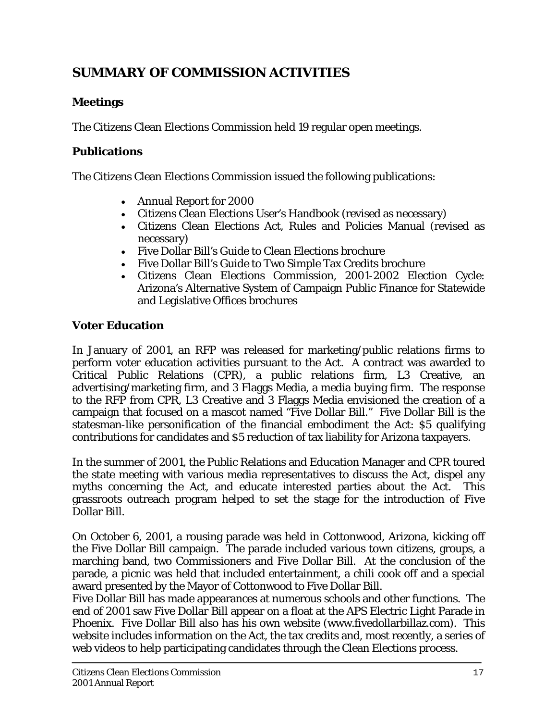# **SUMMARY OF COMMISSION ACTIVITIES**

# **Meetings**

The Citizens Clean Elections Commission held 19 regular open meetings.

### **Publications**

The Citizens Clean Elections Commission issued the following publications:

- Annual Report for 2000
- Citizens Clean Elections User's Handbook (revised as necessary)
- Citizens Clean Elections Act, Rules and Policies Manual (revised as necessary)
- Five Dollar Bill's Guide to Clean Elections brochure
- Five Dollar Bill's Guide to Two Simple Tax Credits brochure
- Citizens Clean Elections Commission, 2001-2002 Election Cycle: Arizona's Alternative System of Campaign Public Finance for Statewide and Legislative Offices brochures

#### **Voter Education**

In January of 2001, an RFP was released for marketing/public relations firms to perform voter education activities pursuant to the Act. A contract was awarded to Critical Public Relations (CPR), a public relations firm, L3 Creative, an advertising/marketing firm, and 3 Flaggs Media, a media buying firm. The response to the RFP from CPR, L3 Creative and 3 Flaggs Media envisioned the creation of a campaign that focused on a mascot named "Five Dollar Bill." Five Dollar Bill is the statesman-like personification of the financial embodiment the Act: \$5 qualifying contributions for candidates and \$5 reduction of tax liability for Arizona taxpayers.

In the summer of 2001, the Public Relations and Education Manager and CPR toured the state meeting with various media representatives to discuss the Act, dispel any myths concerning the Act, and educate interested parties about the Act. This grassroots outreach program helped to set the stage for the introduction of Five Dollar Bill.

On October 6, 2001, a rousing parade was held in Cottonwood, Arizona, kicking off the Five Dollar Bill campaign. The parade included various town citizens, groups, a marching band, two Commissioners and Five Dollar Bill. At the conclusion of the parade, a picnic was held that included entertainment, a chili cook off and a special award presented by the Mayor of Cottonwood to Five Dollar Bill.

Five Dollar Bill has made appearances at numerous schools and other functions. The end of 2001 saw Five Dollar Bill appear on a float at the APS Electric Light Parade in Phoenix. Five Dollar Bill also has his own website (www.fivedollarbillaz.com). This website includes information on the Act, the tax credits and, most recently, a series of web videos to help participating candidates through the Clean Elections process.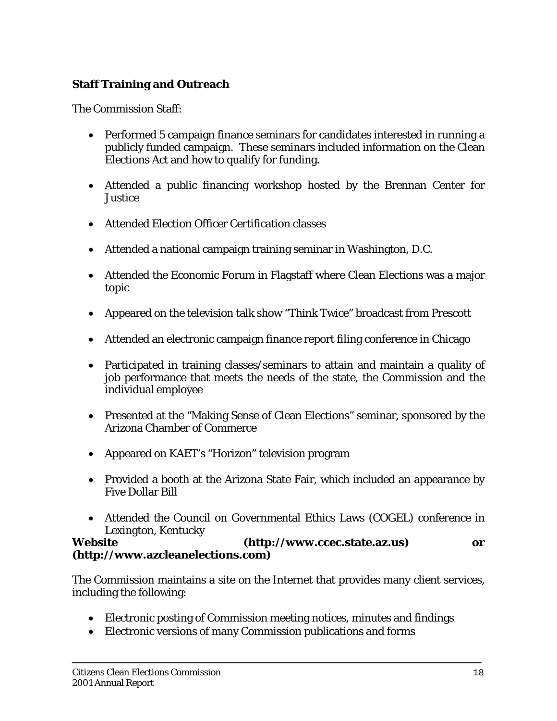# **Staff Training and Outreach**

The Commission Staff:

- Performed 5 campaign finance seminars for candidates interested in running a publicly funded campaign. These seminars included information on the Clean Elections Act and how to qualify for funding.
- Attended a public financing workshop hosted by the Brennan Center for Justice
- Attended Election Officer Certification classes
- Attended a national campaign training seminar in Washington, D.C.
- Attended the Economic Forum in Flagstaff where Clean Elections was a major topic
- Appeared on the television talk show "Think Twice" broadcast from Prescott
- Attended an electronic campaign finance report filing conference in Chicago
- Participated in training classes/seminars to attain and maintain a quality of job performance that meets the needs of the state, the Commission and the individual employee
- Presented at the "Making Sense of Clean Elections" seminar, sponsored by the Arizona Chamber of Commerce
- Appeared on KAET's "Horizon" television program
- Provided a booth at the Arizona State Fair, which included an appearance by Five Dollar Bill
- Attended the Council on Governmental Ethics Laws (COGEL) conference in Lexington, Kentucky

#### **Website (http://www.ccec.state.az.us) or (http://www.azcleanelections.com)**

The Commission maintains a site on the Internet that provides many client services, including the following:

- Electronic posting of Commission meeting notices, minutes and findings
- Electronic versions of many Commission publications and forms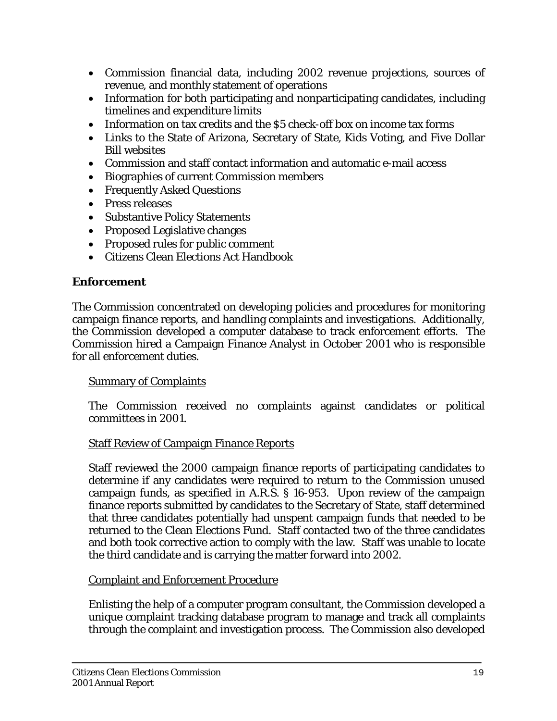- Commission financial data, including 2002 revenue projections, sources of revenue, and monthly statement of operations
- Information for both participating and nonparticipating candidates, including timelines and expenditure limits
- Information on tax credits and the \$5 check-off box on income tax forms
- Links to the State of Arizona, Secretary of State, Kids Voting, and Five Dollar Bill websites
- Commission and staff contact information and automatic e-mail access
- Biographies of current Commission members
- Frequently Asked Questions
- Press releases
- Substantive Policy Statements
- Proposed Legislative changes
- Proposed rules for public comment
- Citizens Clean Elections Act Handbook

# **Enforcement**

The Commission concentrated on developing policies and procedures for monitoring campaign finance reports, and handling complaints and investigations. Additionally, the Commission developed a computer database to track enforcement efforts. The Commission hired a Campaign Finance Analyst in October 2001 who is responsible for all enforcement duties.

## Summary of Complaints

The Commission received no complaints against candidates or political committees in 2001.

## Staff Review of Campaign Finance Reports

Staff reviewed the 2000 campaign finance reports of participating candidates to determine if any candidates were required to return to the Commission unused campaign funds, as specified in A.R.S. § 16-953. Upon review of the campaign finance reports submitted by candidates to the Secretary of State, staff determined that three candidates potentially had unspent campaign funds that needed to be returned to the Clean Elections Fund. Staff contacted two of the three candidates and both took corrective action to comply with the law. Staff was unable to locate the third candidate and is carrying the matter forward into 2002.

# Complaint and Enforcement Procedure

Enlisting the help of a computer program consultant, the Commission developed a unique complaint tracking database program to manage and track all complaints through the complaint and investigation process. The Commission also developed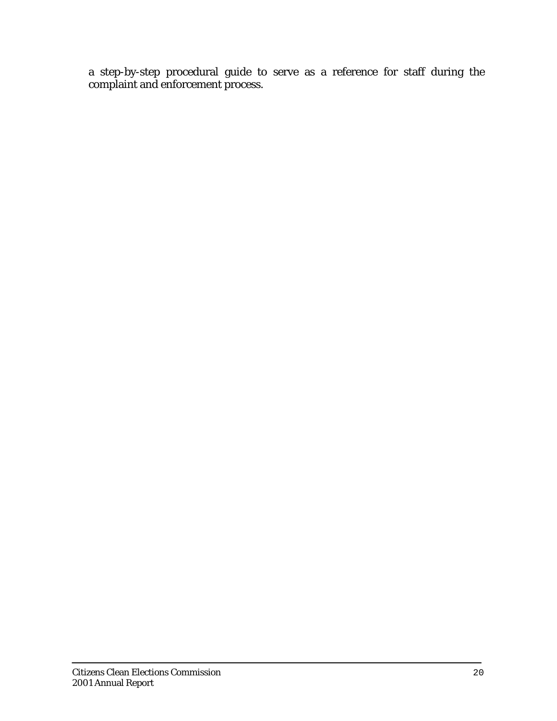a step-by-step procedural guide to serve as a reference for staff during the complaint and enforcement process.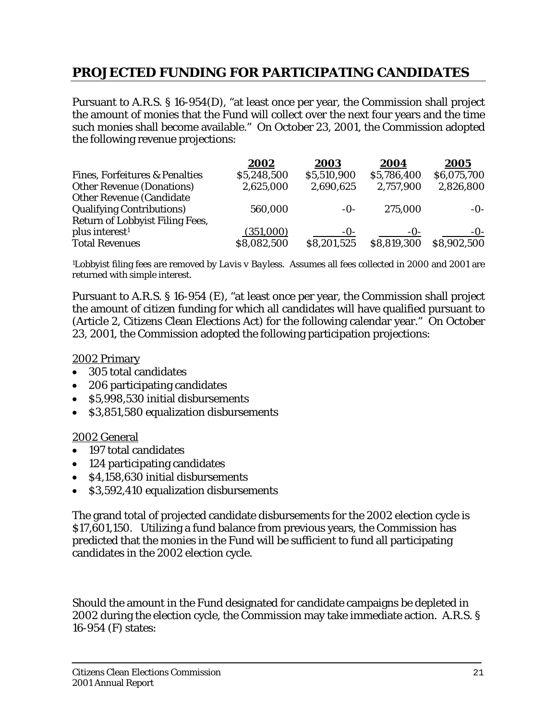# **PROJECTED FUNDING FOR PARTICIPATING CANDIDATES**

Pursuant to A.R.S. § 16-954(D), "at least once per year, the Commission shall project the amount of monies that the Fund will collect over the next four years and the time such monies shall become available." On October 23, 2001, the Commission adopted the following revenue projections:

|                                           | 2002        | 2003        | 2004        | 2005        |
|-------------------------------------------|-------------|-------------|-------------|-------------|
| <b>Fines, Forfeitures &amp; Penalties</b> | \$5,248,500 | \$5,510,900 | \$5,786,400 | \$6,075,700 |
| <b>Other Revenue (Donations)</b>          | 2,625,000   | 2,690,625   | 2,757,900   | 2,826,800   |
| <b>Other Revenue (Candidate)</b>          |             |             |             |             |
| <b>Qualifying Contributions)</b>          | 560,000     | $-0-$       | 275,000     | $-0$ -      |
| Return of Lobbyist Filing Fees,           |             |             |             |             |
| plus interest <sup>1</sup>                | (351,000)   | -0-         | $-0$ -      | $-0$ -      |
| <b>Total Revenues</b>                     | \$8,082,500 | \$8,201,525 | \$8,819,300 | \$8,902,500 |

1Lobbyist filing fees are removed by *Lavis v Bayless*. Assumes all fees collected in 2000 and 2001 are returned with simple interest.

Pursuant to A.R.S. § 16-954 (E), "at least once per year, the Commission shall project the amount of citizen funding for which all candidates will have qualified pursuant to (Article 2, Citizens Clean Elections Act) for the following calendar year." On October 23, 2001, the Commission adopted the following participation projections:

#### 2002 Primary

- 305 total candidates
- 206 participating candidates
- \$5,998,530 initial disbursements
- \$3,851,580 equalization disbursements

#### 2002 General

- 197 total candidates
- 124 participating candidates
- \$4,158,630 initial disbursements
- \$3,592,410 equalization disbursements

The grand total of projected candidate disbursements for the 2002 election cycle is \$17,601,150. Utilizing a fund balance from previous years, the Commission has predicted that the monies in the Fund will be sufficient to fund all participating candidates in the 2002 election cycle.

Should the amount in the Fund designated for candidate campaigns be depleted in 2002 during the election cycle, the Commission may take immediate action. A.R.S. § 16-954 (F) states: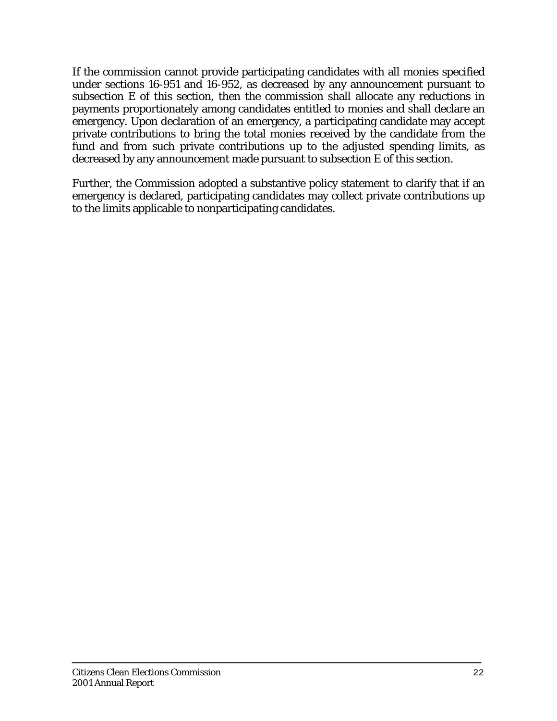If the commission cannot provide participating candidates with all monies specified under sections 16-951 and 16-952, as decreased by any announcement pursuant to subsection E of this section, then the commission shall allocate any reductions in payments proportionately among candidates entitled to monies and shall declare an emergency. Upon declaration of an emergency, a participating candidate may accept private contributions to bring the total monies received by the candidate from the fund and from such private contributions up to the adjusted spending limits, as decreased by any announcement made pursuant to subsection E of this section.

Further, the Commission adopted a substantive policy statement to clarify that if an emergency is declared, participating candidates may collect private contributions up to the limits applicable to nonparticipating candidates.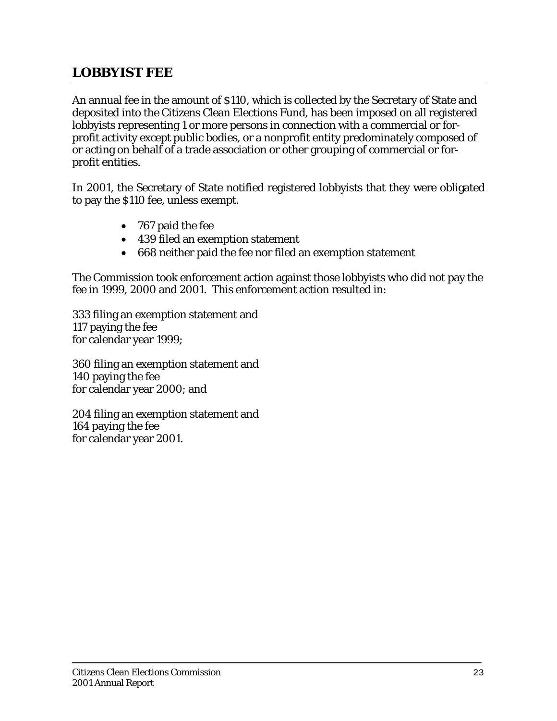# **LOBBYIST FEE**

An annual fee in the amount of \$110, which is collected by the Secretary of State and deposited into the Citizens Clean Elections Fund, has been imposed on all registered lobbyists representing 1 or more persons in connection with a commercial or forprofit activity except public bodies, or a nonprofit entity predominately composed of or acting on behalf of a trade association or other grouping of commercial or forprofit entities.

In 2001, the Secretary of State notified registered lobbyists that they were obligated to pay the \$110 fee, unless exempt.

- 767 paid the fee
- 439 filed an exemption statement
- 668 neither paid the fee nor filed an exemption statement

The Commission took enforcement action against those lobbyists who did not pay the fee in 1999, 2000 and 2001. This enforcement action resulted in:

333 filing an exemption statement and 117 paying the fee for calendar year 1999;

360 filing an exemption statement and 140 paying the fee for calendar year 2000; and

204 filing an exemption statement and 164 paying the fee for calendar year 2001.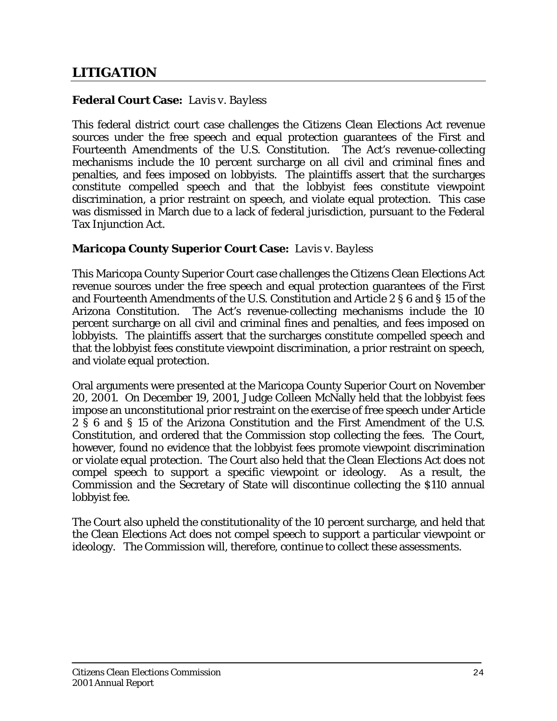#### **Federal Court Case:** *Lavis v. Bayless*

This federal district court case challenges the Citizens Clean Elections Act revenue sources under the free speech and equal protection guarantees of the First and Fourteenth Amendments of the U.S. Constitution. The Act's revenue-collecting mechanisms include the 10 percent surcharge on all civil and criminal fines and penalties, and fees imposed on lobbyists. The plaintiffs assert that the surcharges constitute compelled speech and that the lobbyist fees constitute viewpoint discrimination, a prior restraint on speech, and violate equal protection. This case was dismissed in March due to a lack of federal jurisdiction, pursuant to the Federal Tax Injunction Act.

#### **Maricopa County Superior Court Case:** *Lavis v. Bayless*

This Maricopa County Superior Court case challenges the Citizens Clean Elections Act revenue sources under the free speech and equal protection guarantees of the First and Fourteenth Amendments of the U.S. Constitution and Article 2 § 6 and § 15 of the Arizona Constitution. The Act's revenue-collecting mechanisms include the 10 percent surcharge on all civil and criminal fines and penalties, and fees imposed on lobbyists. The plaintiffs assert that the surcharges constitute compelled speech and that the lobbyist fees constitute viewpoint discrimination, a prior restraint on speech, and violate equal protection.

Oral arguments were presented at the Maricopa County Superior Court on November 20, 2001. On December 19, 2001, Judge Colleen McNally held that the lobbyist fees impose an unconstitutional prior restraint on the exercise of free speech under Article 2 § 6 and § 15 of the Arizona Constitution and the First Amendment of the U.S. Constitution, and ordered that the Commission stop collecting the fees. The Court, however, found no evidence that the lobbyist fees promote viewpoint discrimination or violate equal protection. The Court also held that the Clean Elections Act does not compel speech to support a specific viewpoint or ideology. As a result, the Commission and the Secretary of State will discontinue collecting the \$110 annual lobbyist fee.

The Court also upheld the constitutionality of the 10 percent surcharge, and held that the Clean Elections Act does not compel speech to support a particular viewpoint or ideology. The Commission will, therefore, continue to collect these assessments.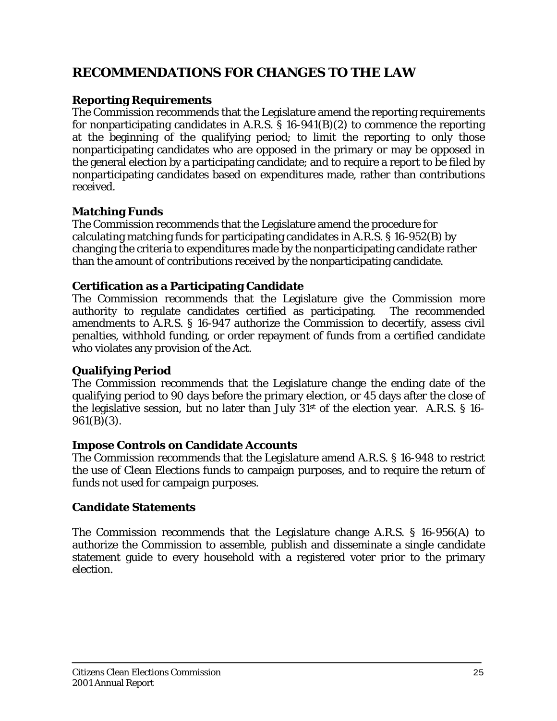# **RECOMMENDATIONS FOR CHANGES TO THE LAW**

## **Reporting Requirements**

The Commission recommends that the Legislature amend the reporting requirements for nonparticipating candidates in A.R.S.  $\S$  16-941(B)(2) to commence the reporting at the beginning of the qualifying period; to limit the reporting to only those nonparticipating candidates who are opposed in the primary or may be opposed in the general election by a participating candidate; and to require a report to be filed by nonparticipating candidates based on expenditures made, rather than contributions received.

# **Matching Funds**

The Commission recommends that the Legislature amend the procedure for calculating matching funds for participating candidates in A.R.S. § 16-952(B) by changing the criteria to expenditures made by the nonparticipating candidate rather than the amount of contributions received by the nonparticipating candidate.

## **Certification as a Participating Candidate**

The Commission recommends that the Legislature give the Commission more authority to regulate candidates certified as participating. The recommended amendments to A.R.S. § 16-947 authorize the Commission to decertify, assess civil penalties, withhold funding, or order repayment of funds from a certified candidate who violates any provision of the Act.

## **Qualifying Period**

The Commission recommends that the Legislature change the ending date of the qualifying period to 90 days before the primary election, or 45 days after the close of the legislative session, but no later than July 31st of the election year. A.R.S. § 16- 961(B)(3).

## **Impose Controls on Candidate Accounts**

The Commission recommends that the Legislature amend A.R.S. § 16-948 to restrict the use of Clean Elections funds to campaign purposes, and to require the return of funds not used for campaign purposes.

## **Candidate Statements**

The Commission recommends that the Legislature change A.R.S. § 16-956(A) to authorize the Commission to assemble, publish and disseminate a single candidate statement guide to every household with a registered voter prior to the primary election.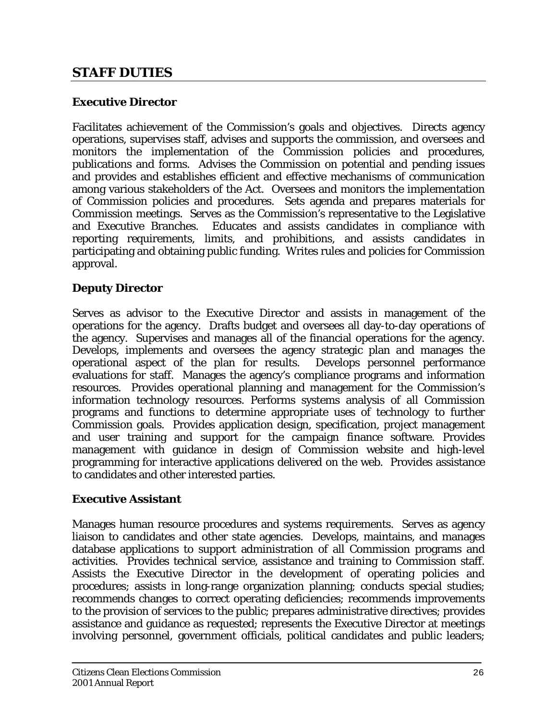# **STAFF DUTIES**

## **Executive Director**

Facilitates achievement of the Commission's goals and objectives. Directs agency operations, supervises staff, advises and supports the commission, and oversees and monitors the implementation of the Commission policies and procedures, publications and forms. Advises the Commission on potential and pending issues and provides and establishes efficient and effective mechanisms of communication among various stakeholders of the Act. Oversees and monitors the implementation of Commission policies and procedures. Sets agenda and prepares materials for Commission meetings. Serves as the Commission's representative to the Legislative and Executive Branches. Educates and assists candidates in compliance with reporting requirements, limits, and prohibitions, and assists candidates in participating and obtaining public funding. Writes rules and policies for Commission approval.

## **Deputy Director**

Serves as advisor to the Executive Director and assists in management of the operations for the agency. Drafts budget and oversees all day-to-day operations of the agency. Supervises and manages all of the financial operations for the agency. Develops, implements and oversees the agency strategic plan and manages the operational aspect of the plan for results. Develops personnel performance evaluations for staff. Manages the agency's compliance programs and information resources. Provides operational planning and management for the Commission's information technology resources. Performs systems analysis of all Commission programs and functions to determine appropriate uses of technology to further Commission goals. Provides application design, specification, project management and user training and support for the campaign finance software. Provides management with guidance in design of Commission website and high-level programming for interactive applications delivered on the web. Provides assistance to candidates and other interested parties.

## **Executive Assistant**

Manages human resource procedures and systems requirements. Serves as agency liaison to candidates and other state agencies. Develops, maintains, and manages database applications to support administration of all Commission programs and activities. Provides technical service, assistance and training to Commission staff. Assists the Executive Director in the development of operating policies and procedures; assists in long-range organization planning; conducts special studies; recommends changes to correct operating deficiencies; recommends improvements to the provision of services to the public; prepares administrative directives; provides assistance and guidance as requested; represents the Executive Director at meetings involving personnel, government officials, political candidates and public leaders;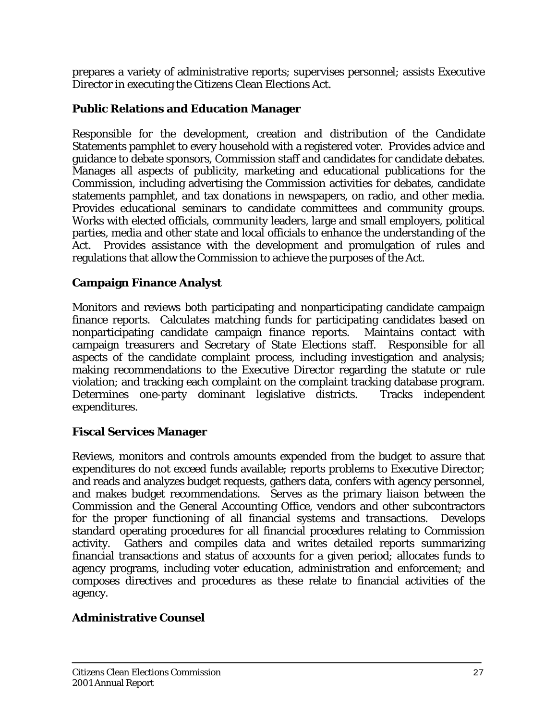prepares a variety of administrative reports; supervises personnel; assists Executive Director in executing the Citizens Clean Elections Act.

# **Public Relations and Education Manager**

Responsible for the development, creation and distribution of the Candidate Statements pamphlet to every household with a registered voter. Provides advice and guidance to debate sponsors, Commission staff and candidates for candidate debates. Manages all aspects of publicity, marketing and educational publications for the Commission, including advertising the Commission activities for debates, candidate statements pamphlet, and tax donations in newspapers, on radio, and other media. Provides educational seminars to candidate committees and community groups. Works with elected officials, community leaders, large and small employers, political parties, media and other state and local officials to enhance the understanding of the Act. Provides assistance with the development and promulgation of rules and regulations that allow the Commission to achieve the purposes of the Act.

## **Campaign Finance Analyst**

Monitors and reviews both participating and nonparticipating candidate campaign finance reports. Calculates matching funds for participating candidates based on nonparticipating candidate campaign finance reports. Maintains contact with campaign treasurers and Secretary of State Elections staff. Responsible for all aspects of the candidate complaint process, including investigation and analysis; making recommendations to the Executive Director regarding the statute or rule violation; and tracking each complaint on the complaint tracking database program. Determines one-party dominant legislative districts. Tracks independent expenditures.

# **Fiscal Services Manager**

Reviews, monitors and controls amounts expended from the budget to assure that expenditures do not exceed funds available; reports problems to Executive Director; and reads and analyzes budget requests, gathers data, confers with agency personnel, and makes budget recommendations. Serves as the primary liaison between the Commission and the General Accounting Office, vendors and other subcontractors for the proper functioning of all financial systems and transactions. Develops standard operating procedures for all financial procedures relating to Commission activity. Gathers and compiles data and writes detailed reports summarizing financial transactions and status of accounts for a given period; allocates funds to agency programs, including voter education, administration and enforcement; and composes directives and procedures as these relate to financial activities of the agency.

## **Administrative Counsel**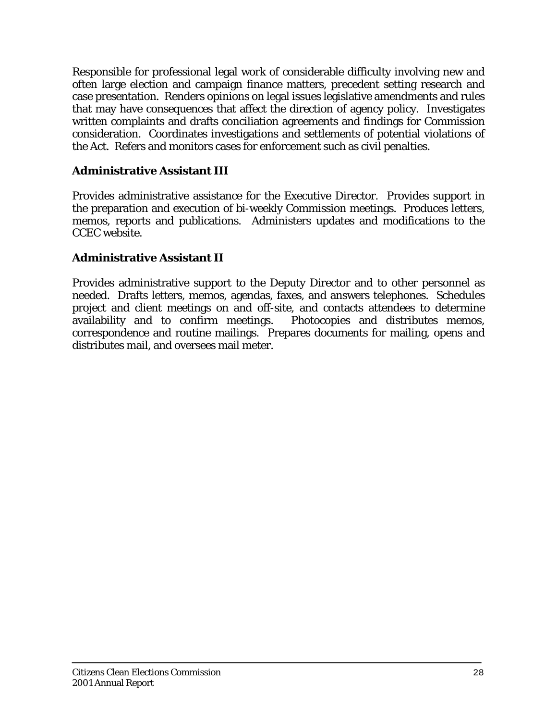Responsible for professional legal work of considerable difficulty involving new and often large election and campaign finance matters, precedent setting research and case presentation. Renders opinions on legal issues legislative amendments and rules that may have consequences that affect the direction of agency policy. Investigates written complaints and drafts conciliation agreements and findings for Commission consideration. Coordinates investigations and settlements of potential violations of the Act. Refers and monitors cases for enforcement such as civil penalties.

## **Administrative Assistant III**

Provides administrative assistance for the Executive Director. Provides support in the preparation and execution of bi-weekly Commission meetings. Produces letters, memos, reports and publications. Administers updates and modifications to the CCEC website.

#### **Administrative Assistant II**

Provides administrative support to the Deputy Director and to other personnel as needed. Drafts letters, memos, agendas, faxes, and answers telephones. Schedules project and client meetings on and off-site, and contacts attendees to determine availability and to confirm meetings. Photocopies and distributes memos, correspondence and routine mailings. Prepares documents for mailing, opens and distributes mail, and oversees mail meter.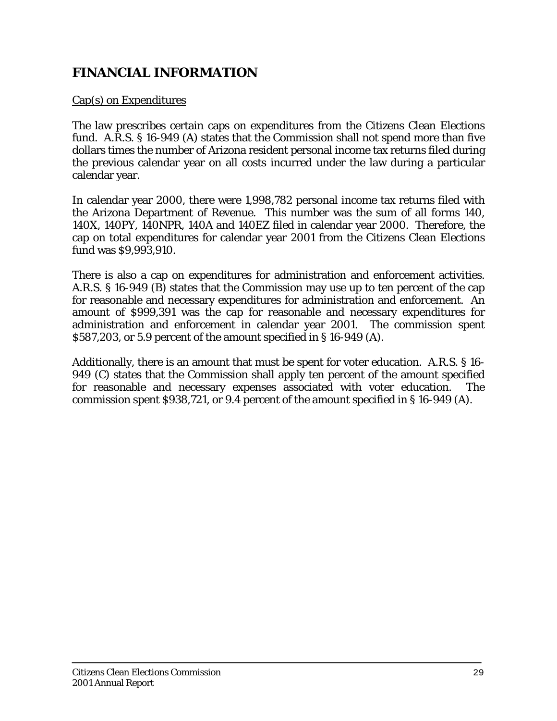# **FINANCIAL INFORMATION**

#### Cap(s) on Expenditures

The law prescribes certain caps on expenditures from the Citizens Clean Elections fund. A.R.S. § 16-949 (A) states that the Commission shall not spend more than five dollars times the number of Arizona resident personal income tax returns filed during the previous calendar year on all costs incurred under the law during a particular calendar year.

In calendar year 2000, there were 1,998,782 personal income tax returns filed with the Arizona Department of Revenue. This number was the sum of all forms 140, 140X, 140PY, 140NPR, 140A and 140EZ filed in calendar year 2000. Therefore, the cap on total expenditures for calendar year 2001 from the Citizens Clean Elections fund was \$9,993,910.

There is also a cap on expenditures for administration and enforcement activities. A.R.S. § 16-949 (B) states that the Commission may use up to ten percent of the cap for reasonable and necessary expenditures for administration and enforcement. An amount of \$999,391 was the cap for reasonable and necessary expenditures for administration and enforcement in calendar year 2001. The commission spent \$587,203, or 5.9 percent of the amount specified in § 16-949 (A).

Additionally, there is an amount that must be spent for voter education. A.R.S. § 16- 949 (C) states that the Commission shall apply ten percent of the amount specified for reasonable and necessary expenses associated with voter education. The commission spent \$938,721, or 9.4 percent of the amount specified in § 16-949 (A).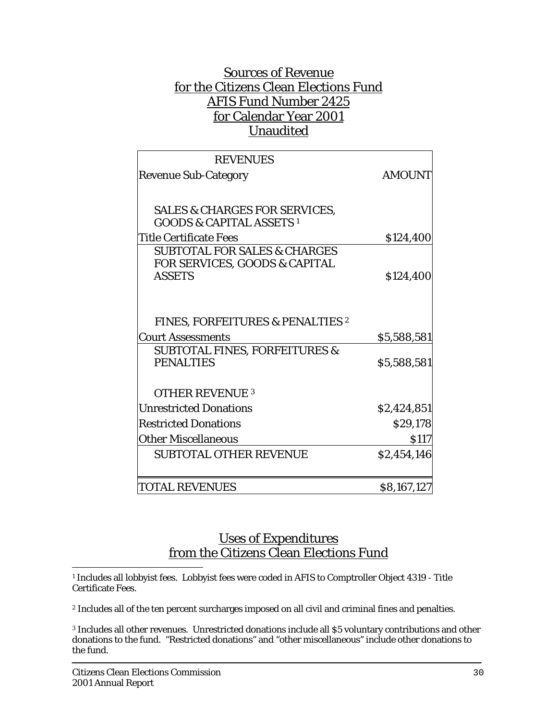# Sources of Revenue for the Citizens Clean Elections Fund AFIS Fund Number 2425 for Calendar Year 2001 Unaudited

| <b>REVENUES</b>                                                                 |               |
|---------------------------------------------------------------------------------|---------------|
| <b>Revenue Sub-Category</b>                                                     | <b>AMOUNT</b> |
|                                                                                 |               |
| <b>SALES &amp; CHARGES FOR SERVICES,</b><br><b>GOODS &amp; CAPITAL ASSETS 1</b> |               |
| <b>Title Certificate Fees</b>                                                   | \$124,400     |
| <b>SUBTOTAL FOR SALES &amp; CHARGES</b><br>FOR SERVICES, GOODS & CAPITAL        |               |
| <b>ASSETS</b>                                                                   | \$124,400     |
|                                                                                 |               |
| <b>FINES, FORFEITURES &amp; PENALTIES 2</b>                                     |               |
| <b>Court Assessments</b>                                                        | \$5,588,581   |
| <b>SUBTOTAL FINES, FORFEITURES &amp;</b>                                        |               |
| <b>PENALTIES</b>                                                                | \$5,588,581   |
| <b>OTHER REVENUE 3</b>                                                          |               |
| <b>Unrestricted Donations</b>                                                   | \$2,424,851   |
| <b>Restricted Donations</b>                                                     | \$29,178      |
| <b>Other Miscellaneous</b>                                                      | <b>S117</b>   |
| <b>SUBTOTAL OTHER REVENUE</b>                                                   | \$2,454,146   |
| <b>TOTAL REVENUES</b>                                                           | \$8,167,127   |
|                                                                                 |               |

# Uses of Expenditures from the Citizens Clean Elections Fund

 $\overline{a}$ 1 Includes all lobbyist fees. Lobbyist fees were coded in AFIS to Comptroller Object 4319 - Title Certificate Fees.

2 Includes all of the ten percent surcharges imposed on all civil and criminal fines and penalties.

<sup>3</sup> Includes all other revenues. Unrestricted donations include all \$5 voluntary contributions and other donations to the fund. "Restricted donations" and "other miscellaneous" include other donations to the fund.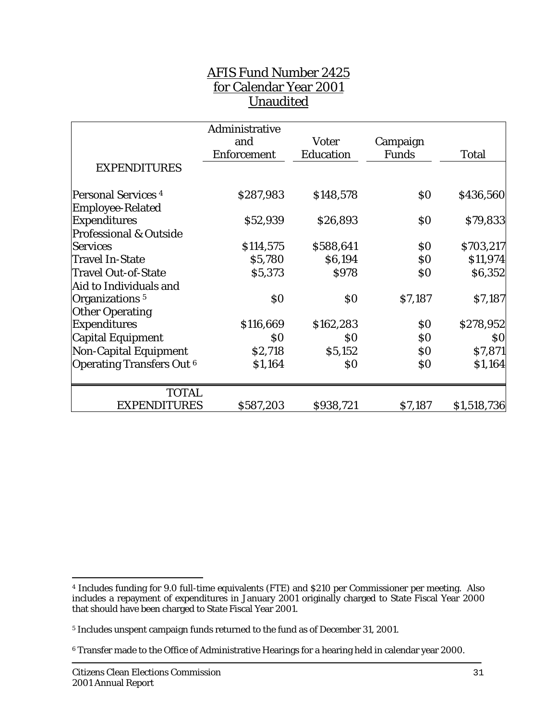# AFIS Fund Number 2425 for Calendar Year 2001 Unaudited

|                                   | Administrative     |              |                   |              |
|-----------------------------------|--------------------|--------------|-------------------|--------------|
|                                   | and                | <b>Voter</b> | Campaign          |              |
|                                   | <b>Enforcement</b> | Education    | <b>Funds</b>      | <b>Total</b> |
| <b>EXPENDITURES</b>               |                    |              |                   |              |
| <b>Personal Services 4</b>        | \$287,983          | \$148,578    | $\boldsymbol{S0}$ | \$436,560    |
| <b>Employee-Related</b>           |                    |              |                   |              |
| <b>Expenditures</b>               | \$52,939           | \$26,893     | $\boldsymbol{S0}$ | \$79,833     |
| <b>Professional &amp; Outside</b> |                    |              |                   |              |
| <b>Services</b>                   | \$114,575          | \$588,641    | \$0               | \$703,217    |
| <b>Travel In-State</b>            | \$5,780            | \$6,194      | \$0               | \$11,974     |
| <b>Travel Out-of-State</b>        | \$5,373            | \$978        | \$0               | \$6,352      |
| Aid to Individuals and            |                    |              |                   |              |
| Organizations <sup>5</sup>        | $\boldsymbol{S0}$  | \$0          | \$7,187           | \$7,187      |
| <b>Other Operating</b>            |                    |              |                   |              |
| <b>Expenditures</b>               | \$116,669          | \$162,283    | $\$0$             | \$278,952    |
| Capital Equipment                 | $\boldsymbol{S0}$  | \$0          | \$0               | \$0          |
| <b>Non-Capital Equipment</b>      | \$2,718            | \$5,152      | \$0               | \$7,871      |
| <b>Operating Transfers Out 6</b>  | \$1,164            | \$0          | \$0               | \$1,164      |
| <b>TOTAL</b>                      |                    |              |                   |              |
| <b>EXPENDITURES</b>               | \$587,203          | \$938,721    | \$7,187           | \$1,518,736  |

 $\overline{a}$ 

<sup>4</sup> Includes funding for 9.0 full-time equivalents (FTE) and \$210 per Commissioner per meeting. Also includes a repayment of expenditures in January 2001 originally charged to State Fiscal Year 2000 that should have been charged to State Fiscal Year 2001.

<sup>5</sup> Includes unspent campaign funds returned to the fund as of December 31, 2001.

<sup>6</sup> Transfer made to the Office of Administrative Hearings for a hearing held in calendar year 2000.